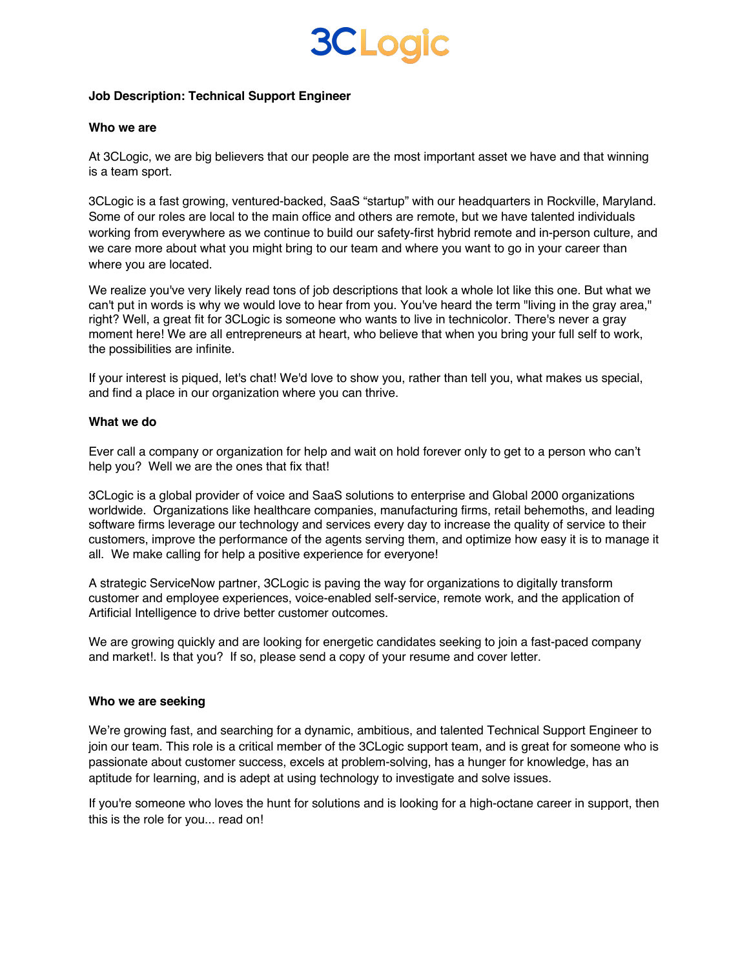## **3CLogic**

#### **Job Description: Technical Support Engineer**

#### **Who we are**

At 3CLogic, we are big believers that our people are the most important asset we have and that winning is a team sport.

3CLogic is a fast growing, ventured-backed, SaaS "startup" with our headquarters in Rockville, Maryland. Some of our roles are local to the main office and others are remote, but we have talented individuals working from everywhere as we continue to build our safety-first hybrid remote and in-person culture, and we care more about what you might bring to our team and where you want to go in your career than where you are located.

We realize you've very likely read tons of job descriptions that look a whole lot like this one. But what we can't put in words is why we would love to hear from you. You've heard the term "living in the gray area," right? Well, a great fit for 3CLogic is someone who wants to live in technicolor. There's never a gray moment here! We are all entrepreneurs at heart, who believe that when you bring your full self to work, the possibilities are infinite.

If your interest is piqued, let's chat! We'd love to show you, rather than tell you, what makes us special, and find a place in our organization where you can thrive.

#### **What we do**

Ever call a company or organization for help and wait on hold forever only to get to a person who can't help you? Well we are the ones that fix that!

3CLogic is a global provider of voice and SaaS solutions to enterprise and Global 2000 organizations worldwide. Organizations like healthcare companies, manufacturing firms, retail behemoths, and leading software firms leverage our technology and services every day to increase the quality of service to their customers, improve the performance of the agents serving them, and optimize how easy it is to manage it all. We make calling for help a positive experience for everyone!

A strategic ServiceNow partner, 3CLogic is paving the way for organizations to digitally transform customer and employee experiences, voice-enabled self-service, remote work, and the application of Artificial Intelligence to drive better customer outcomes.

We are growing quickly and are looking for energetic candidates seeking to join a fast-paced company and market!. Is that you? If so, please send a copy of your resume and cover letter.

#### **Who we are seeking**

We're growing fast, and searching for a dynamic, ambitious, and talented Technical Support Engineer to join our team. This role is a critical member of the 3CLogic support team, and is great for someone who is passionate about customer success, excels at problem-solving, has a hunger for knowledge, has an aptitude for learning, and is adept at using technology to investigate and solve issues.

If you're someone who loves the hunt for solutions and is looking for a high-octane career in support, then this is the role for you... read on!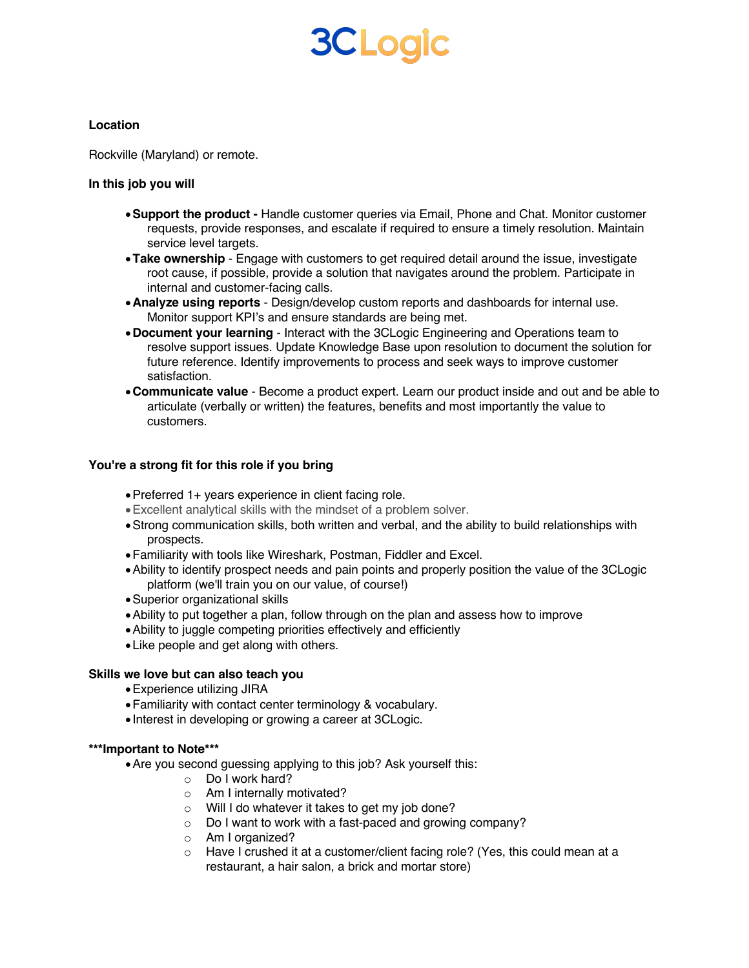# **3CLogic**

### **Location**

Rockville (Maryland) or remote.

#### **In this job you will**

- •**Support the product -** Handle customer queries via Email, Phone and Chat. Monitor customer requests, provide responses, and escalate if required to ensure a timely resolution. Maintain service level targets.
- •**Take ownership**  Engage with customers to get required detail around the issue, investigate root cause, if possible, provide a solution that navigates around the problem. Participate in internal and customer-facing calls.
- •**Analyze using reports** Design/develop custom reports and dashboards for internal use. Monitor support KPI's and ensure standards are being met.
- •**Document your learning** Interact with the 3CLogic Engineering and Operations team to resolve support issues. Update Knowledge Base upon resolution to document the solution for future reference. Identify improvements to process and seek ways to improve customer satisfaction.
- •**Communicate value**  Become a product expert. Learn our product inside and out and be able to articulate (verbally or written) the features, benefits and most importantly the value to customers.

## **You're a strong fit for this role if you bring**

- •Preferred 1+ years experience in client facing role.
- •Excellent analytical skills with the mindset of a problem solver.
- •Strong communication skills, both written and verbal, and the ability to build relationships with prospects.
- •Familiarity with tools like Wireshark, Postman, Fiddler and Excel.
- •Ability to identify prospect needs and pain points and properly position the value of the 3CLogic platform (we'll train you on our value, of course!)
- •Superior organizational skills
- •Ability to put together a plan, follow through on the plan and assess how to improve
- •Ability to juggle competing priorities effectively and efficiently
- •Like people and get along with others.

## **Skills we love but can also teach you**

- •Experience utilizing JIRA
- •Familiarity with contact center terminology & vocabulary.
- Interest in developing or growing a career at 3CLogic.

#### **\*\*\*Important to Note\*\*\***

- •Are you second guessing applying to this job? Ask yourself this:
	- o Do I work hard?
		- o Am I internally motivated?
	- o Will I do whatever it takes to get my job done?
	- o Do I want to work with a fast-paced and growing company?
	- o Am I organized?
	- o Have I crushed it at a customer/client facing role? (Yes, this could mean at a restaurant, a hair salon, a brick and mortar store)